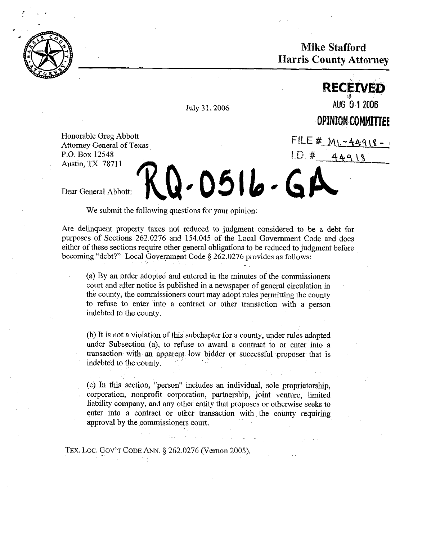

**Mike Stafford Harris County Attorney** 

July 31, 2006 **AUG** <sup>0</sup>12006

**RECEIVED** 

OPINION COMMITTEE

FILE #  $M_1 - 44918 - 4$ 

 $44918$ 

 $LD.$ 

Honorable Greg Abbott Attorney General of Texas P.O. Box 12548 Austin, TX 78711

Dear General Abbott:

We submit the following questions for your opinion:

Are delinquent property taxes not reduced to judgment considered to be a debt for purposes of Sections 262.0276 and 154.045 of the Local Government Code and does either of these sections require other general obligations to be reduced to judgment before becoming~"debt?" Local Government Code 3 262.0276 provides as follows:

J-0516-G

(a) By an order adopted and entered in the minutes of the commissioners court and after notice is published in a newspaper of general circulation in the county, the commissioners court may adopt rules permitting the county to refuse to enter into a contract or other transaction with a person indebted to the county.

(b) It is not a violation of this subchapter for a county, under rules adopted under Subsection  $(a)$ , to refuse to award a contract to or enter into a transaction with an apparent low bidder or successful proposer that is indebted to the county.

(c) In this section, "person" includes an individual, sole groprietorship, corporation, nonprofit corporation, partnership, joint venture, limited liability company, and any other entity that proposes or otherwise seeks to enter into a contract or other transaction with the county requiring approval by the commissioners court.

TEX. LOC. GOV'T CODE ANN. § 262.0276 (Vernon 2005).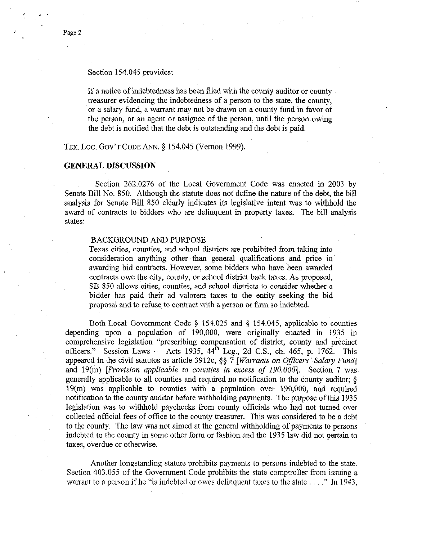If a notice of indebtedness has been filed with the county auditor or county treasurer evidencing the indebtedness of a person to the state, the county, or a salary fund, a warrant may not be drawn on a county fund in favor of the person, or an agent or assignee of the person, until.the person owing the debt is notified that the debt is outstanding and the debt is paid.

TEX. LOC. GOV'T CODE ANN. § 154.045 (Vernon 1999).

## **GENERAL DISCUSSION**

Section 262.0276 of the Local Government Code was enacted in 2003 by Senate Bill No. 850. Although the statute does not defme the nature of the debt, the bill analysis for Senate Bill 850 clearly indicates its legislative intent was to withhold the award of contracts to bidders who are delinquent in property taxes. The bill analysis states:

## BACKGROUND AND PURPOSE

Texas cities, counties, and school districts are prohibited from taking into consideration anything other than general qualifications and price in awarding bid contracts. However, some bidders who have been awarded contracts owe the city, county, or school district back taxes. As proposed, SB 850 allows cities, counties, and school districts to consider whether a bidder has paid their ad valorem taxes to the entity seeking the bid proposal and to refuse to contract with a person or firm so indebted.

Both Local Government Code  $\S$  154.025 and  $\S$  154.045, applicable to counties depending upon a population of 190,000, were originally enacted in 1935 in comprehensive legislation "prescribing compensation of district, county and precinct officers." Session Laws  $-$  Acts 1935, 44<sup>th</sup> Leg., 2d C.S., ch. 465, p. 1762. This appeared in the civil statutes as article 3912e, §§ 7 [*Warrants on Officers' Salary Fund*] and 19(m) *[Provision applicable to counties' in excess* of *190,000].* Section 7 was generally applicable to all counties and required no notification to the county auditor;  $\delta$ 19(m) was applicable to counties with a population over 190,000, and required notification to the county auditor before withholding payments. The purpose of this 1935 legislation was to withhold paychecks from county officials who had not turned over collected official fees of office to the county treasurer. This was considered to be a debt to the county. The law was not aimed at the general withholding of payments to persons indebted to the county in some other form or fashion and the 1935 law did not pertain to taxes, overdue or otherwise.

Another longstanding statute prohibits payments to persons indebted to the state. Section 403.055 of the Government Code prohibits the state comptroller from issuing a warrant to a person if he "is indebted or owes delinquent taxes to the state . . . ." In 1943,

, . I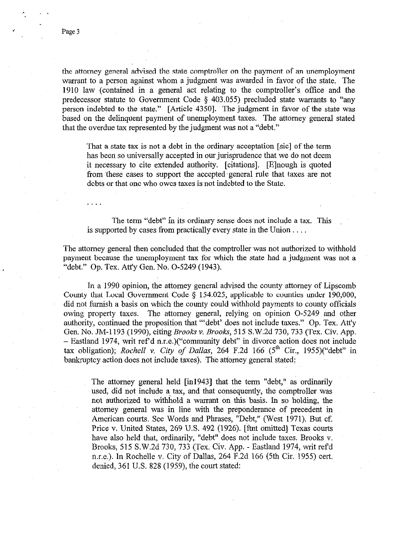the attorney general advised the state comptroller on the payment of an unemployment warrant to a person against whom a judgment was awarded in favor of the state. The 1910 law (contained in a general act relating to the comptroller's offrice and the predecessor statute to Government Code 5 403.055) precluded state warrants to "any person indebted to the state." [Article 43501. The judgment in favor of the state was based on the delinquent payment of unemployment taxes. The attorney general stated that the overdue tax represented by the judgment was not a "debt."

That a state tax is not a debt in the ordinary acceptation [sic] of the term has been so universally accepted in our jurisprudence that we do not deem it necessary to cite extended authority. [citations]. [Elnough is quoted from these cases to support the accepted general rule that taxes are not debts or that one who owes taxes is not indebted to the State.

The term "debt" in its ordinary sense does not include a tax. This is supported by cases from practically every state in the Union  $\dots$ .

The attorney general then concluded that the comptroller was not authorized to withhold payment because the unemployment tax for which the state had a judgment was not a "debt." Op. Tex. Att'y Gen. No. O-5249 (1943).

In a 1990 opinion, the attorney general advised the county attorney of Lipscomb County that Local Government Code  $\S$  154.025, applicable to counties under 190,000, did not furnish a basis on which the county could withhold payments to county officials owing property taxes. The attorney general, relying on opinion O-5249 and other authority, continued the proposition that "'debt' does not include taxes." Op. Tex. Att'y Gen. No. JMA~ 193 (1990) citing *Brooks* v. *Brooks,* 515 S.W.2d 730,733 (Tex. Civ. App. - Eastland 1974, writ ref d n.r.e.)("community debt" in divorce action does not include tax obligation); *Rochell* v. *City* of *Dallas,* 264 F.2d 166 (5" Cir., 1955)("debt" in bankruptcy action does not include taxes). The attorney general stated:

The attorney general held [in19431 that the term "debt," as ordinarily used, did not include a tax, and that consequently, the comptroller was not authorized to withhold a warrant on this basis. In so holding, the attorney general was in line with the preponderance of precedent in American courts. See Words and Phrases, "Debt," (West 1971). But cf. Price v. United States, 269 U.S. 492 (1926). [ftnt omitted] Texas courts have also held that, ordinarily, "debt" does not include taxes. Brooks v. Brooks, 515 S.W.2d 730, 733 (Tex. Civ. App. - Eastland 1974, writ refd n.r.e.). In Rochelle v. City of Dallas, 264 F.2d 166 (5th Cir. 1955) cert. denied, 361 U.S. 828 (1959), the court stated:

. .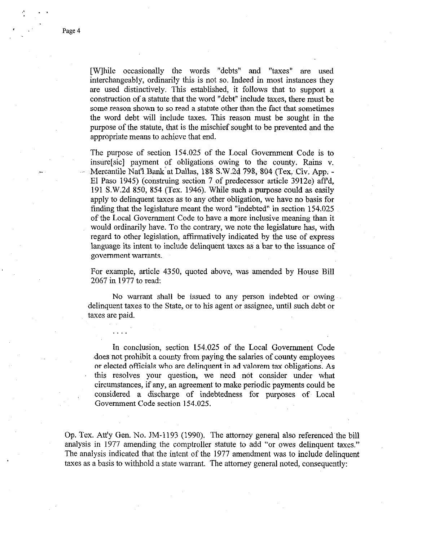Page 4

[while occasionally the words "debts" and "taxes" are used interchangeably, ordinarily this is not so. Indeed in most instances they are used distinctively. This established, it follows that to support a construction of a statute that the word "debt" include taxes, there must be some reason shown to so read a statute other than the fact that sometimes the word debt will include taxes. This reason must be sought in the purpose of the statute, that is the mischief sought to be prevented and the appropriate means to achieve that end.

The purpose of section 154.025 of the Local Government Code is to insure[sic] payment of obligations~ owing to the county. Rains v. Mercantile Nat'l Bank at Dallas, 188 S.W.2d 798, 804 (Tex. Civ. App. -El Paso 1945) (construing section 7 of predecessor article 3912e) affd, 191 S.W.2d 850, 854 (Tex. 1946). While such a purpose could as easily apply to delinquent taxes as to any other obligation, we have no basis for finding that the legislature meant the word "indebted" in section 154.025 of the Local Government Code to have a more inclusive meaning than it would ordinarily have. To the contrary, we note the legislature has, with regard to other legislation, affirmatively indicated by the use of express language its intent to include delinquent taxes as a bar to the issuance of government warrants.

For example, article 4350, quoted above, was amended by House Bill 2067 in 1977 to read:

No warrant shall be issued to any person indebted or owing delinquent taxes to the State, or to his agent or assignee, until such debt or taxes are paid.

In conclusion, section 154.025 of the Local Government Code ~does not prohibit a county from,paying the salaries of county employees or elected officials who are delinquent in ad valorem tax obligations. As this resolves your question, we need not consider under what circumstances, if any, an agreement to make periodic payments could be considered a discharge of indebtedness for purposes of Local Government Code section 154.025.

Op. Tex. Att'y Gen. No. JM-1193 (1990). The attorney general also referenced~the bill analysis in 1977 amending the comptroller statute to add "or owes delinquent taxes." The analysis indicated that the intent of the 1977 amendment was to include delinquent taxes as a basis to withhold a state warrant. The attorney general noted, consequently: